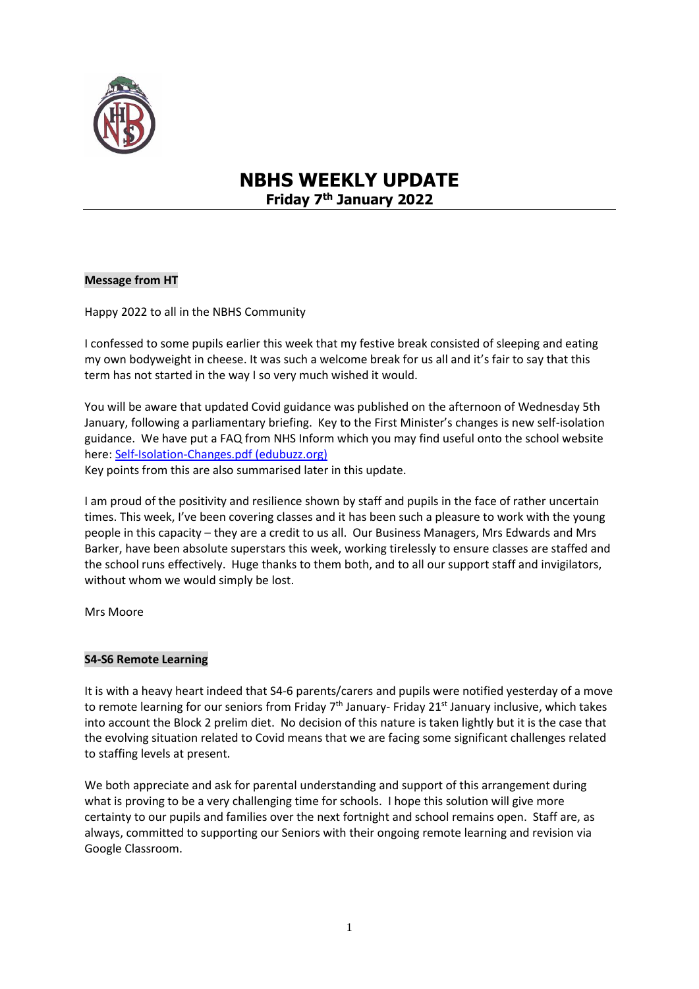

# **NBHS WEEKLY UPDATE Friday 7th January 2022**

# **Message from HT**

Happy 2022 to all in the NBHS Community

I confessed to some pupils earlier this week that my festive break consisted of sleeping and eating my own bodyweight in cheese. It was such a welcome break for us all and it's fair to say that this term has not started in the way I so very much wished it would.

You will be aware that updated Covid guidance was published on the afternoon of Wednesday 5th January, following a parliamentary briefing. Key to the First Minister's changes is new self-isolation guidance. We have put a FAQ from NHS Inform which you may find useful onto the school website here: [Self-Isolation-Changes.pdf \(edubuzz.org\)](https://www.edubuzz.org/northberwickhigh/wp-content/blogs.dir/894/files/2022/01/Self-Isolation-Changes.pdf)

Key points from this are also summarised later in this update.

I am proud of the positivity and resilience shown by staff and pupils in the face of rather uncertain times. This week, I've been covering classes and it has been such a pleasure to work with the young people in this capacity – they are a credit to us all. Our Business Managers, Mrs Edwards and Mrs Barker, have been absolute superstars this week, working tirelessly to ensure classes are staffed and the school runs effectively. Huge thanks to them both, and to all our support staff and invigilators, without whom we would simply be lost.

Mrs Moore

## **S4-S6 Remote Learning**

It is with a heavy heart indeed that S4-6 parents/carers and pupils were notified yesterday of a move to remote learning for our seniors from Friday 7<sup>th</sup> January- Friday 21<sup>st</sup> January inclusive, which takes into account the Block 2 prelim diet. No decision of this nature is taken lightly but it is the case that the evolving situation related to Covid means that we are facing some significant challenges related to staffing levels at present.

We both appreciate and ask for parental understanding and support of this arrangement during what is proving to be a very challenging time for schools. I hope this solution will give more certainty to our pupils and families over the next fortnight and school remains open. Staff are, as always, committed to supporting our Seniors with their ongoing remote learning and revision via Google Classroom.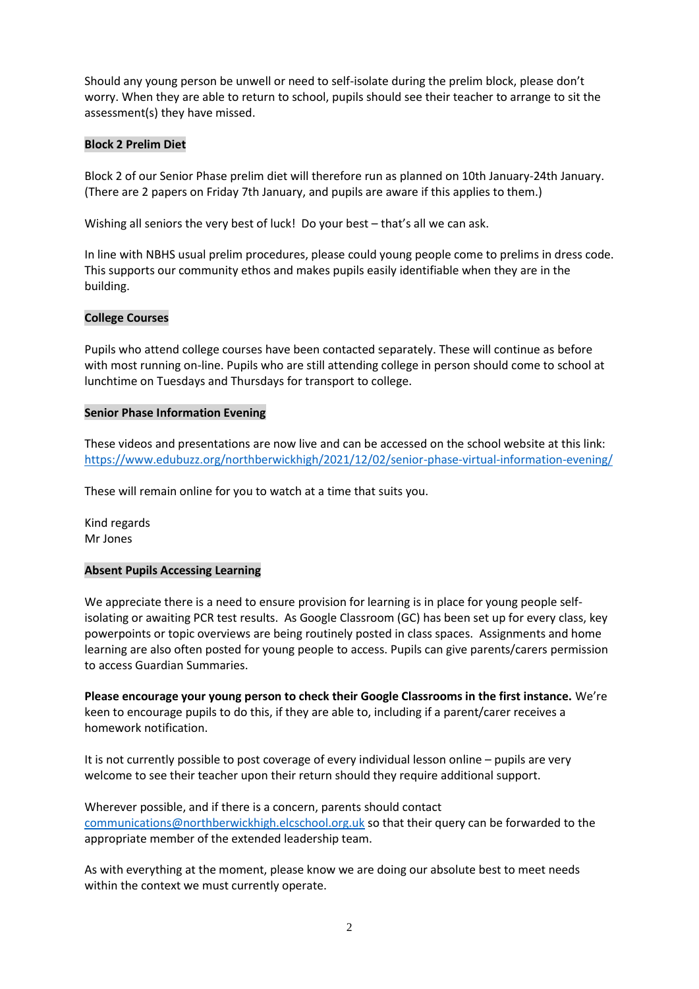Should any young person be unwell or need to self-isolate during the prelim block, please don't worry. When they are able to return to school, pupils should see their teacher to arrange to sit the assessment(s) they have missed.

# **Block 2 Prelim Diet**

Block 2 of our Senior Phase prelim diet will therefore run as planned on 10th January-24th January. (There are 2 papers on Friday 7th January, and pupils are aware if this applies to them.)

Wishing all seniors the very best of luck! Do your best - that's all we can ask.

In line with NBHS usual prelim procedures, please could young people come to prelims in dress code. This supports our community ethos and makes pupils easily identifiable when they are in the building.

# **College Courses**

Pupils who attend college courses have been contacted separately. These will continue as before with most running on-line. Pupils who are still attending college in person should come to school at lunchtime on Tuesdays and Thursdays for transport to college.

## **Senior Phase Information Evening**

These videos and presentations are now live and can be accessed on the school website at this link: <https://www.edubuzz.org/northberwickhigh/2021/12/02/senior-phase-virtual-information-evening/>

These will remain online for you to watch at a time that suits you.

Kind regards Mr Jones

## **Absent Pupils Accessing Learning**

We appreciate there is a need to ensure provision for learning is in place for young people selfisolating or awaiting PCR test results. As Google Classroom (GC) has been set up for every class, key powerpoints or topic overviews are being routinely posted in class spaces. Assignments and home learning are also often posted for young people to access. Pupils can give parents/carers permission to access Guardian Summaries.

**Please encourage your young person to check their Google Classrooms in the first instance.** We're keen to encourage pupils to do this, if they are able to, including if a parent/carer receives a homework notification.

It is not currently possible to post coverage of every individual lesson online – pupils are very welcome to see their teacher upon their return should they require additional support.

Wherever possible, and if there is a concern, parents should contact [communications@northberwickhigh.elcschool.org.uk](mailto:communications@northberwickhigh.elcschool.org.uk) so that their query can be forwarded to the appropriate member of the extended leadership team.

As with everything at the moment, please know we are doing our absolute best to meet needs within the context we must currently operate.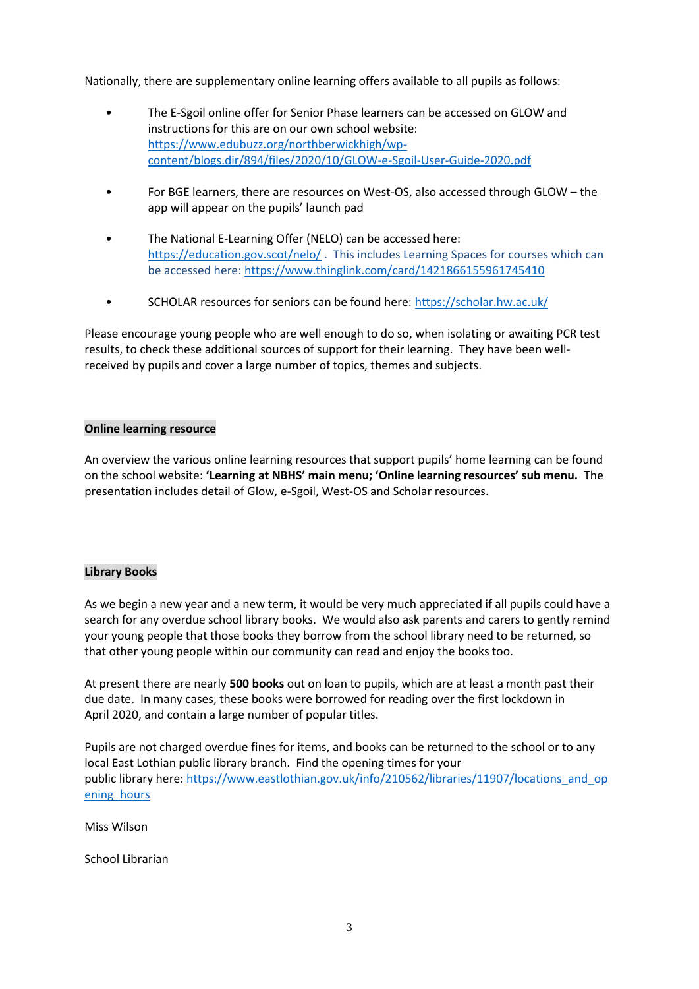Nationally, there are supplementary online learning offers available to all pupils as follows:

- The E-Sgoil online offer for Senior Phase learners can be accessed on GLOW and instructions for this are on our own school website: [https://www.edubuzz.org/northberwickhigh/wp](https://www.edubuzz.org/northberwickhigh/wp-content/blogs.dir/894/files/2020/10/GLOW-e-Sgoil-User-Guide-2020.pdf)[content/blogs.dir/894/files/2020/10/GLOW-e-Sgoil-User-Guide-2020.pdf](https://www.edubuzz.org/northberwickhigh/wp-content/blogs.dir/894/files/2020/10/GLOW-e-Sgoil-User-Guide-2020.pdf)
- For BGE learners, there are resources on West-OS, also accessed through GLOW the app will appear on the pupils' launch pad
- The National E-Learning Offer (NELO) can be accessed here: <https://education.gov.scot/nelo/> . This includes Learning Spaces for courses which can be accessed here:<https://www.thinglink.com/card/1421866155961745410>
- SCHOLAR resources for seniors can be found here:<https://scholar.hw.ac.uk/>

Please encourage young people who are well enough to do so, when isolating or awaiting PCR test results, to check these additional sources of support for their learning. They have been wellreceived by pupils and cover a large number of topics, themes and subjects.

## **Online learning resource**

An overview the various online learning resources that support pupils' home learning can be found on the school website: **'Learning at NBHS' main menu; 'Online learning resources' sub menu.** The presentation includes detail of Glow, e-Sgoil, West-OS and Scholar resources.

## **Library Books**

As we begin a new year and a new term, it would be very much appreciated if all pupils could have a search for any overdue school library books. We would also ask parents and carers to gently remind your young people that those books they borrow from the school library need to be returned, so that other young people within our community can read and enjoy the books too.

At present there are nearly **500 books** out on loan to pupils, which are at least a month past their due date. In many cases, these books were borrowed for reading over the first lockdown in April 2020, and contain a large number of popular titles.

Pupils are not charged overdue fines for items, and books can be returned to the school or to any local East Lothian public library branch. Find the opening times for your public library here: [https://www.eastlothian.gov.uk/info/210562/libraries/11907/locations\\_and\\_op](https://www.eastlothian.gov.uk/info/210562/libraries/11907/locations_and_opening_hours) [ening\\_hours](https://www.eastlothian.gov.uk/info/210562/libraries/11907/locations_and_opening_hours)

Miss Wilson

School Librarian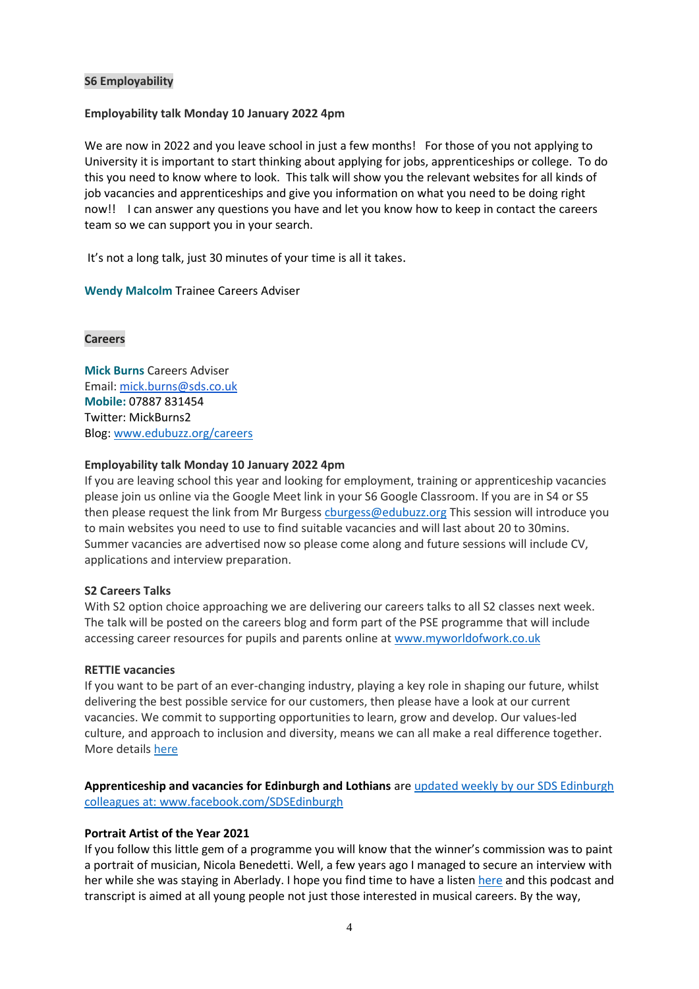## **S6 Employability**

#### **Employability talk Monday 10 January 2022 4pm**

We are now in 2022 and you leave school in just a few months! For those of you not applying to University it is important to start thinking about applying for jobs, apprenticeships or college. To do this you need to know where to look. This talk will show you the relevant websites for all kinds of job vacancies and apprenticeships and give you information on what you need to be doing right now!! I can answer any questions you have and let you know how to keep in contact the careers team so we can support you in your search.

It's not a long talk, just 30 minutes of your time is all it takes.

**Wendy Malcolm** Trainee Careers Adviser

#### **Careers**

**Mick Burns** Careers Adviser Email: [mick.burns@sds.co.uk](https://mail.elcschool.org.uk/owa/redir.aspx?C=fbGa3DGVrsUoQB2CnJP23eXwMGzxu7J1CtarT6dTOwkq_NlpJujXCA..&URL=mailto%3amick.burns%40sds.co.uk) **Mobile:** 07887 831454 Twitter: MickBurns2 Blog: [www.edubuzz.org/careers](http://www.edubuzz.org/careers)

#### **Employability talk Monday 10 January 2022 4pm**

If you are leaving school this year and looking for employment, training or apprenticeship vacancies please join us online via the Google Meet link in your S6 Google Classroom. If you are in S4 or S5 then please request the link from Mr Burges[s cburgess@edubuzz.org](mailto:cburgess@edubuzz.org) This session will introduce you to main websites you need to use to find suitable vacancies and will last about 20 to 30mins. Summer vacancies are advertised now so please come along and future sessions will include CV, applications and interview preparation.

#### **S2 Careers Talks**

With S2 option choice approaching we are delivering our careers talks to all S2 classes next week. The talk will be posted on the careers blog and form part of the PSE programme that will include accessing career resources for pupils and parents online at [www.myworldofwork.co.uk](http://www.myworldofwork.co.uk/)

#### **RETTIE vacancies**

If you want to be part of an ever-changing industry, playing a key role in shaping our future, whilst delivering the best possible service for our customers, then please have a look at our current vacancies. We commit to supporting opportunities to learn, grow and develop. Our values-led culture, and approach to inclusion and diversity, means we can all make a real difference together. More details [here](https://www.rettie.co.uk/pages/current-vacancies)

**Apprenticeship and vacancies for Edinburgh and Lothians** are updated weekly by our SDS Edinburgh colleagues at: [www.facebook.com/SDSEdinburgh](http://www.facebook.com/SDSEdinburgh/)

## **Portrait Artist of the Year 2021**

If you follow this little gem of a programme you will know that the winner's commission was to paint a portrait of musician, Nicola Benedetti. Well, a few years ago I managed to secure an interview with her while she was staying in Aberlady. I hope you find time to have a liste[n here](https://www.edubuzz.org/careers/2014/01/21/interview-with-nicola-benedetti/) and this podcast and transcript is aimed at all young people not just those interested in musical careers. By the way,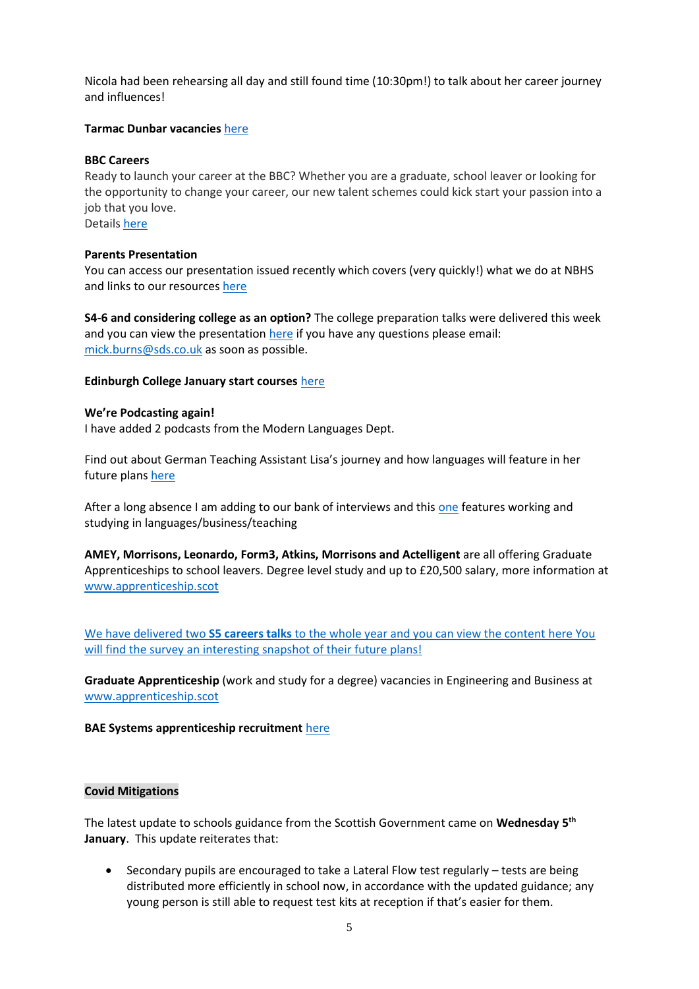Nicola had been rehearsing all day and still found time (10:30pm!) to talk about her career journey and influences!

# **Tarmac Dunbar vacancies** [here](https://www.edubuzz.org/careers/2021/12/16/tarmac-dunbar-vacancies/)

# **BBC Careers**

Ready to launch your career at the BBC? Whether you are a graduate, school leaver or looking for the opportunity to change your career, our new talent schemes could kick start your passion into a job that you love.

Details [here](https://www.edubuzz.org/careers/2021/12/12/bbc-careers/)

# **Parents Presentation**

You can access our presentation issued recently which covers (very quickly!) what we do at NBHS and links to our resources [here](https://www.edubuzz.org/careers/2021/11/30/10622/)

**S4-6 and considering college as an option?** The college preparation talks were delivered this week and you can view the presentation [here](https://www.edubuzz.org/careers/2021/11/18/applying-for-college-2022/) if you have any questions please email: [mick.burns@sds.co.uk](mailto:mick.burns@sds.co.uk) as soon as possible.

# **Edinburgh College January start courses** [here](https://www.edinburghcollege.ac.uk/courses/january-courses)

# **We're Podcasting again!**

I have added 2 podcasts from the Modern Languages Dept.

Find out about German Teaching Assistant Lisa's journey and how languages will feature in her future plan[s here](https://www.edubuzz.org/careers/2021/12/07/why-my-languages-are-important/)

After a long absence I am adding to our bank of interviews and this [one](https://www.edubuzz.org/careers/2021/11/18/using-languages-in-my-career/) features working and studying in languages/business/teaching

**AMEY, Morrisons, Leonardo, Form3, Atkins, Morrisons and Actelligent** are all offering Graduate Apprenticeships to school leavers. Degree level study and up to £20,500 salary, more information at [www.apprenticeship.scot](http://www.apprenticeship.scot/)

We have delivered two **S5 careers talks** to the whole year and you can view the content [here](https://www.edubuzz.org/careers/2021/10/28/s5-buzz-talk-november-part-2/) You will find the survey an interesting snapshot of their future plans!

**Graduate Apprenticeship** (work and study for a degree) vacancies in Engineering and Business at [www.apprenticeship.scot](http://www.apprenticeship.scot/)

# **BAE Systems apprenticeship recruitment** [here](https://www.edubuzz.org/careers/2021/11/04/bae-systems-apprenticeship-recruitment/)

# **Covid Mitigations**

The latest update to schools guidance from the Scottish Government came on **Wednesday 5th January**. This update reiterates that:

 Secondary pupils are encouraged to take a Lateral Flow test regularly – tests are being distributed more efficiently in school now, in accordance with the updated guidance; any young person is still able to request test kits at reception if that's easier for them.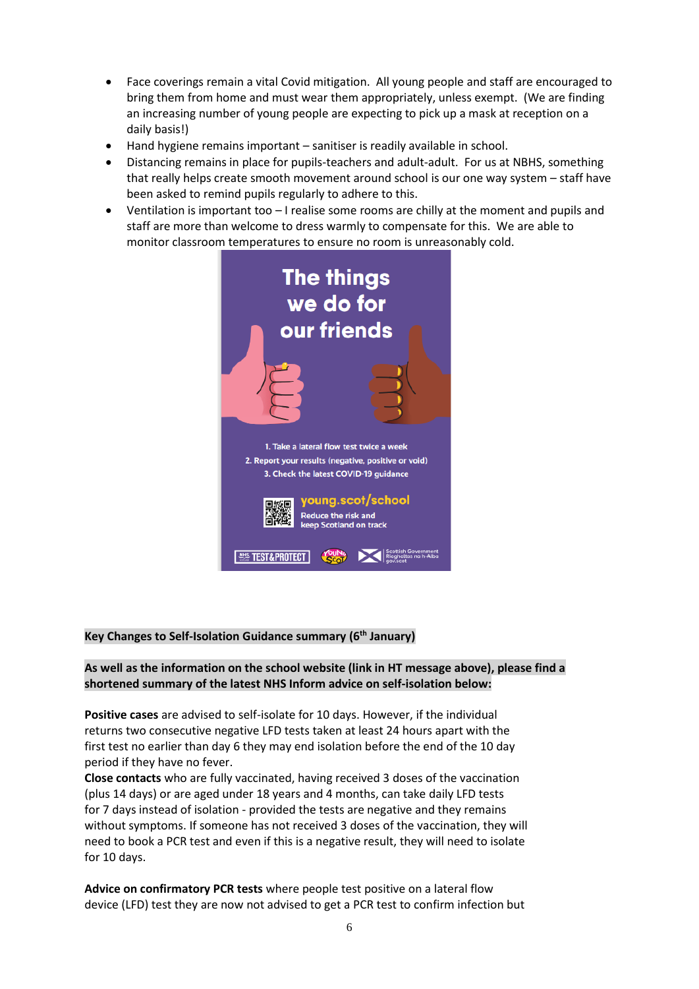- Face coverings remain a vital Covid mitigation. All young people and staff are encouraged to bring them from home and must wear them appropriately, unless exempt. (We are finding an increasing number of young people are expecting to pick up a mask at reception on a daily basis!)
- Hand hygiene remains important sanitiser is readily available in school.
- Distancing remains in place for pupils-teachers and adult-adult. For us at NBHS, something that really helps create smooth movement around school is our one way system – staff have been asked to remind pupils regularly to adhere to this.
- Ventilation is important too I realise some rooms are chilly at the moment and pupils and staff are more than welcome to dress warmly to compensate for this. We are able to monitor classroom temperatures to ensure no room is unreasonably cold.



# **Key Changes to Self-Isolation Guidance summary (6th January)**

# **As well as the information on the school website (link in HT message above), please find a shortened summary of the latest NHS Inform advice on self-isolation below:**

**Positive cases** are advised to self-isolate for 10 days. However, if the individual returns two consecutive negative LFD tests taken at least 24 hours apart with the first test no earlier than day 6 they may end isolation before the end of the 10 day period if they have no fever.

**Close contacts** who are fully vaccinated, having received 3 doses of the vaccination (plus 14 days) or are aged under 18 years and 4 months, can take daily LFD tests for 7 days instead of isolation - provided the tests are negative and they remains without symptoms. If someone has not received 3 doses of the vaccination, they will need to book a PCR test and even if this is a negative result, they will need to isolate for 10 days.

**Advice on confirmatory PCR tests** where people test positive on a lateral flow device (LFD) test they are now not advised to get a PCR test to confirm infection but